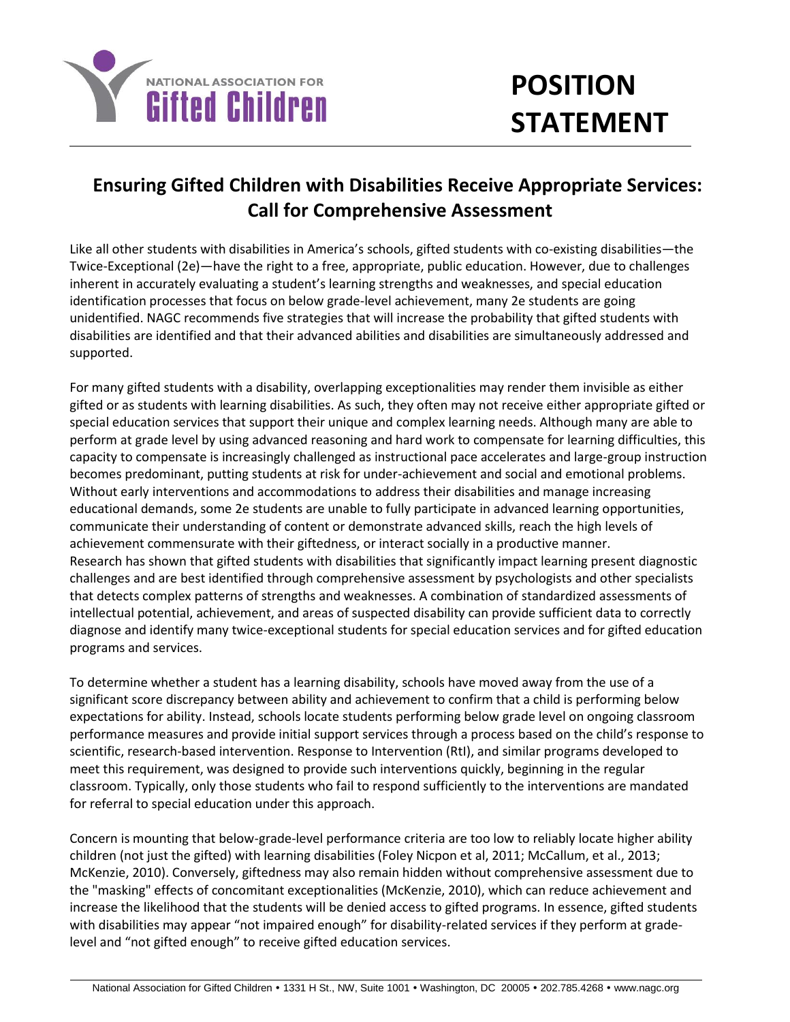

## **POSITION STATEMENT**

## **Ensuring Gifted Children with Disabilities Receive Appropriate Services: Call for Comprehensive Assessment**

Like all other students with disabilities in America's schools, gifted students with co-existing disabilities—the Twice-Exceptional (2e)—have the right to a free, appropriate, public education. However, due to challenges inherent in accurately evaluating a student's learning strengths and weaknesses, and special education identification processes that focus on below grade-level achievement, many 2e students are going unidentified. NAGC recommends five strategies that will increase the probability that gifted students with disabilities are identified and that their advanced abilities and disabilities are simultaneously addressed and supported.

For many gifted students with a disability, overlapping exceptionalities may render them invisible as either gifted or as students with learning disabilities. As such, they often may not receive either appropriate gifted or special education services that support their unique and complex learning needs. Although many are able to perform at grade level by using advanced reasoning and hard work to compensate for learning difficulties, this capacity to compensate is increasingly challenged as instructional pace accelerates and large-group instruction becomes predominant, putting students at risk for under-achievement and social and emotional problems. Without early interventions and accommodations to address their disabilities and manage increasing educational demands, some 2e students are unable to fully participate in advanced learning opportunities, communicate their understanding of content or demonstrate advanced skills, reach the high levels of achievement commensurate with their giftedness, or interact socially in a productive manner. Research has shown that gifted students with disabilities that significantly impact learning present diagnostic challenges and are best identified through comprehensive assessment by psychologists and other specialists that detects complex patterns of strengths and weaknesses. A combination of standardized assessments of intellectual potential, achievement, and areas of suspected disability can provide sufficient data to correctly diagnose and identify many twice-exceptional students for special education services and for gifted education programs and services.

To determine whether a student has a learning disability, schools have moved away from the use of a significant score discrepancy between ability and achievement to confirm that a child is performing below expectations for ability. Instead, schools locate students performing below grade level on ongoing classroom performance measures and provide initial support services through a process based on the child's response to scientific, research-based intervention. Response to Intervention (RtI), and similar programs developed to meet this requirement, was designed to provide such interventions quickly, beginning in the regular classroom. Typically, only those students who fail to respond sufficiently to the interventions are mandated for referral to special education under this approach.

Concern is mounting that below-grade-level performance criteria are too low to reliably locate higher ability children (not just the gifted) with learning disabilities (Foley Nicpon et al, 2011; McCallum, et al., 2013; McKenzie, 2010). Conversely, giftedness may also remain hidden without comprehensive assessment due to the "masking" effects of concomitant exceptionalities (McKenzie, 2010), which can reduce achievement and increase the likelihood that the students will be denied access to gifted programs. In essence, gifted students with disabilities may appear "not impaired enough" for disability-related services if they perform at gradelevel and "not gifted enough" to receive gifted education services.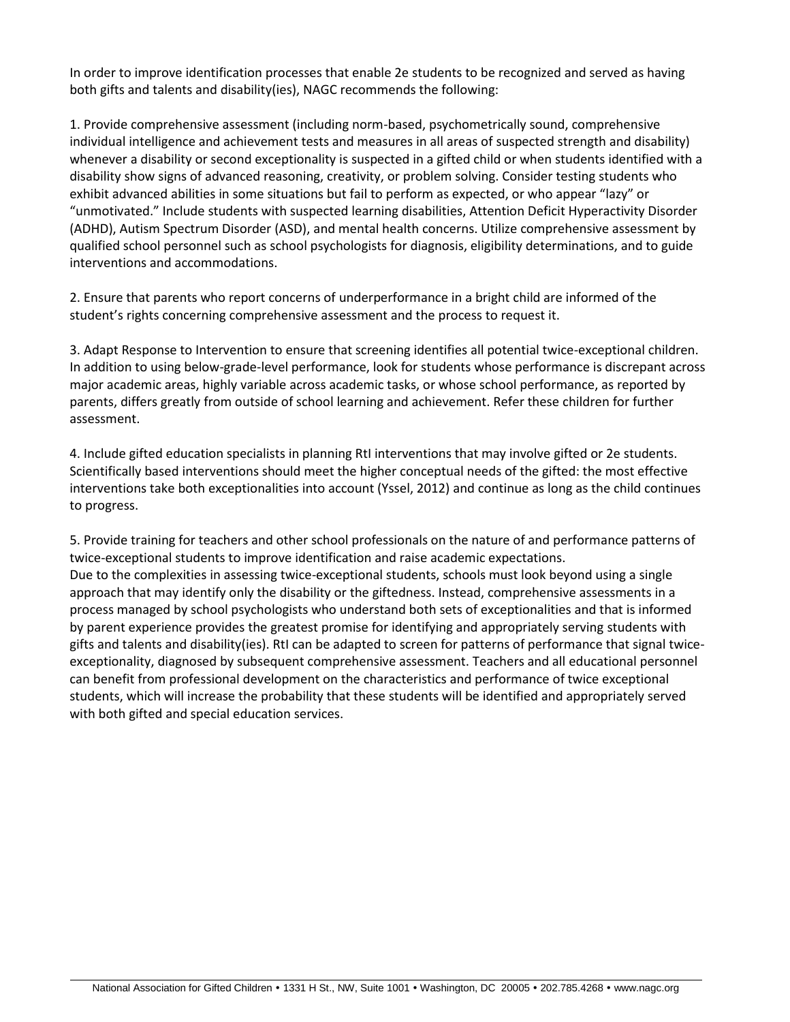In order to improve identification processes that enable 2e students to be recognized and served as having both gifts and talents and disability(ies), NAGC recommends the following:

1. Provide comprehensive assessment (including norm-based, psychometrically sound, comprehensive individual intelligence and achievement tests and measures in all areas of suspected strength and disability) whenever a disability or second exceptionality is suspected in a gifted child or when students identified with a disability show signs of advanced reasoning, creativity, or problem solving. Consider testing students who exhibit advanced abilities in some situations but fail to perform as expected, or who appear "lazy" or "unmotivated." Include students with suspected learning disabilities, Attention Deficit Hyperactivity Disorder (ADHD), Autism Spectrum Disorder (ASD), and mental health concerns. Utilize comprehensive assessment by qualified school personnel such as school psychologists for diagnosis, eligibility determinations, and to guide interventions and accommodations.

2. Ensure that parents who report concerns of underperformance in a bright child are informed of the student's rights concerning comprehensive assessment and the process to request it.

3. Adapt Response to Intervention to ensure that screening identifies all potential twice-exceptional children. In addition to using below-grade-level performance, look for students whose performance is discrepant across major academic areas, highly variable across academic tasks, or whose school performance, as reported by parents, differs greatly from outside of school learning and achievement. Refer these children for further assessment.

4. Include gifted education specialists in planning RtI interventions that may involve gifted or 2e students. Scientifically based interventions should meet the higher conceptual needs of the gifted: the most effective interventions take both exceptionalities into account (Yssel, 2012) and continue as long as the child continues to progress.

5. Provide training for teachers and other school professionals on the nature of and performance patterns of twice-exceptional students to improve identification and raise academic expectations. Due to the complexities in assessing twice-exceptional students, schools must look beyond using a single approach that may identify only the disability or the giftedness. Instead, comprehensive assessments in a process managed by school psychologists who understand both sets of exceptionalities and that is informed by parent experience provides the greatest promise for identifying and appropriately serving students with gifts and talents and disability(ies). RtI can be adapted to screen for patterns of performance that signal twiceexceptionality, diagnosed by subsequent comprehensive assessment. Teachers and all educational personnel can benefit from professional development on the characteristics and performance of twice exceptional students, which will increase the probability that these students will be identified and appropriately served with both gifted and special education services.